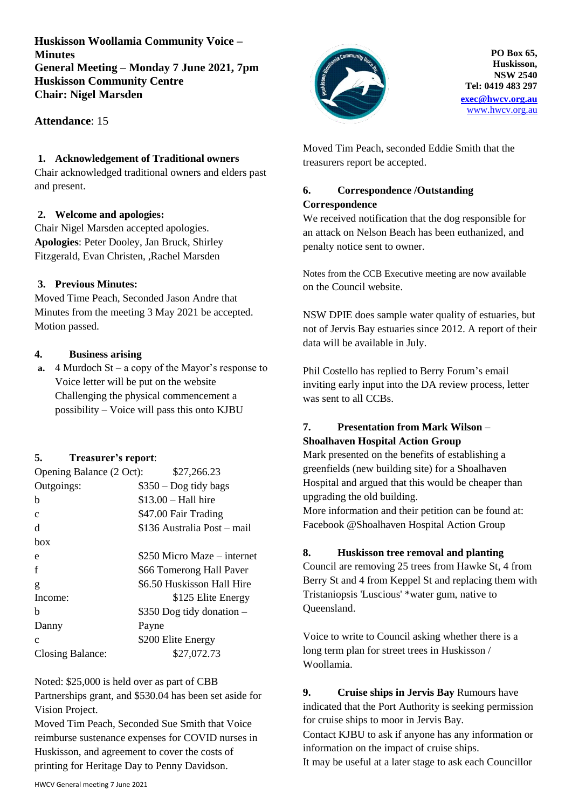**Huskisson Woollamia Community Voice – Minutes General Meeting – Monday 7 June 2021, 7pm Huskisson Community Centre Chair: Nigel Marsden**

**Attendance**: 15

### **1. Acknowledgement of Traditional owners**

Chair acknowledged traditional owners and elders past and present.

### **2. Welcome and apologies:**

Chair Nigel Marsden accepted apologies. **Apologies**: Peter Dooley, Jan Bruck, Shirley Fitzgerald, Evan Christen, ,Rachel Marsden

## **3. Previous Minutes:**

Moved Time Peach, Seconded Jason Andre that Minutes from the meeting 3 May 2021 be accepted. Motion passed.

### **4. Business arising**

**a.** 4 Murdoch St – a copy of the Mayor's response to Voice letter will be put on the website Challenging the physical commencement a possibility – Voice will pass this onto KJBU

## **5. Treasurer's report**:

| Opening Balance (2 Oct): | \$27,266.23                 |
|--------------------------|-----------------------------|
| Outgoings:               | $$350 - Dog$ tidy bags      |
| b                        | $$13.00 - Hall$ hire        |
| $\mathbf{C}$             | \$47.00 Fair Trading        |
| d                        | \$136 Australia Post – mail |
| box                      |                             |
| e                        | \$250 Micro Maze – internet |
| f                        | \$66 Tomerong Hall Paver    |
| g                        | \$6.50 Huskisson Hall Hire  |
| Income:                  | \$125 Elite Energy          |
| h                        | \$350 Dog tidy donation -   |
| Danny                    | Payne                       |
| $\mathbf{C}$             | \$200 Elite Energy          |
| Closing Balance:         | \$27,072.73                 |

Noted: \$25,000 is held over as part of CBB

Partnerships grant, and \$530.04 has been set aside for Vision Project.

Moved Tim Peach, Seconded Sue Smith that Voice reimburse sustenance expenses for COVID nurses in Huskisson, and agreement to cover the costs of printing for Heritage Day to Penny Davidson.



**PO Box 65, Huskisson, NSW 2540 Tel: 0419 483 297 [exec@hwcv.org.au](mailto:exec@hwcv.org.au)** [www.hwcv.org.au](http://www.hwcv.org.au/)

Moved Tim Peach, seconded Eddie Smith that the treasurers report be accepted.

# **6. Correspondence /Outstanding Correspondence**

We received notification that the dog responsible for an attack on Nelson Beach has been euthanized, and penalty notice sent to owner.

Notes from the CCB Executive meeting are now available on the Council website.

NSW DPIE does sample water quality of estuaries, but not of Jervis Bay estuaries since 2012. A report of their data will be available in July.

Phil Costello has replied to Berry Forum's email inviting early input into the DA review process, letter was sent to all CCBs.

## **7. Presentation from Mark Wilson – Shoalhaven Hospital Action Group**

Mark presented on the benefits of establishing a greenfields (new building site) for a Shoalhaven Hospital and argued that this would be cheaper than upgrading the old building. More information and their petition can be found at:

Facebook @Shoalhaven Hospital Action Group

## **8. Huskisson tree removal and planting**

Council are removing 25 trees from Hawke St, 4 from Berry St and 4 from Keppel St and replacing them with Tristaniopsis 'Luscious' \*water gum, native to Queensland.

Voice to write to Council asking whether there is a long term plan for street trees in Huskisson / Woollamia.

# **9. Cruise ships in Jervis Bay** Rumours have indicated that the Port Authority is seeking permission for cruise ships to moor in Jervis Bay. Contact KJBU to ask if anyone has any information or information on the impact of cruise ships.

It may be useful at a later stage to ask each Councillor